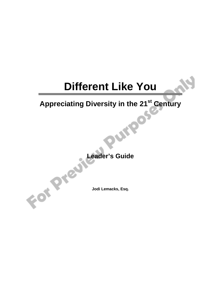# **Different Like You**

# **Appreciating Diversity in the 21<sup>st</sup> Century**<br> **Appreciating Diversity in the 21<sup>st</sup> Century**

**Leader's Guide** 

**Jodi Lemacks, Esq.**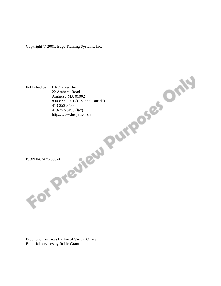Copyright © 2001, Edge Training Systems, Inc.



Production services by Anctil Virtual Office Editorial services by Robie Grant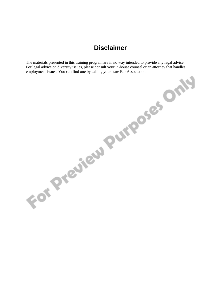# **Disclaimer**

The materials presented in this training program are in no way intended to provide any legal advice. For legal advice on diversity issues, please consult your in-house counsel or an attorney that handles employment issues. You can find one by calling your state Bar Association.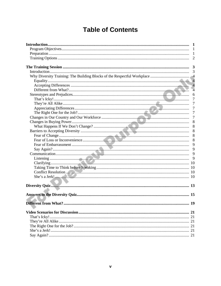# **Table of Contents**

|                                                                                                                                                                                                                               | - 1            |
|-------------------------------------------------------------------------------------------------------------------------------------------------------------------------------------------------------------------------------|----------------|
|                                                                                                                                                                                                                               |                |
|                                                                                                                                                                                                                               |                |
|                                                                                                                                                                                                                               |                |
|                                                                                                                                                                                                                               |                |
|                                                                                                                                                                                                                               |                |
|                                                                                                                                                                                                                               |                |
|                                                                                                                                                                                                                               |                |
|                                                                                                                                                                                                                               |                |
|                                                                                                                                                                                                                               | $\overline{4}$ |
|                                                                                                                                                                                                                               |                |
|                                                                                                                                                                                                                               | 7              |
|                                                                                                                                                                                                                               | 7              |
|                                                                                                                                                                                                                               | 7              |
|                                                                                                                                                                                                                               | $\overline{7}$ |
|                                                                                                                                                                                                                               | -7             |
|                                                                                                                                                                                                                               |                |
|                                                                                                                                                                                                                               | 8              |
|                                                                                                                                                                                                                               | 8              |
|                                                                                                                                                                                                                               | 8              |
|                                                                                                                                                                                                                               | 8              |
|                                                                                                                                                                                                                               | 9              |
|                                                                                                                                                                                                                               | 9              |
|                                                                                                                                                                                                                               |                |
|                                                                                                                                                                                                                               |                |
|                                                                                                                                                                                                                               |                |
|                                                                                                                                                                                                                               |                |
|                                                                                                                                                                                                                               |                |
| She's a Jerk! [10] 10 and 10 and 10 and 10 and 10 and 10 and 10 and 10 and 10 and 10 and 10 and 10 and 10 and 10 and 10 and 10 and 10 and 10 and 10 and 10 and 10 and 10 and 10 and 10 and 10 and 10 and 10 and 10 and 10 and |                |
|                                                                                                                                                                                                                               |                |
|                                                                                                                                                                                                                               |                |
|                                                                                                                                                                                                                               |                |
|                                                                                                                                                                                                                               | 19             |
|                                                                                                                                                                                                                               |                |
|                                                                                                                                                                                                                               |                |
|                                                                                                                                                                                                                               |                |
|                                                                                                                                                                                                                               |                |
|                                                                                                                                                                                                                               |                |
|                                                                                                                                                                                                                               |                |
|                                                                                                                                                                                                                               |                |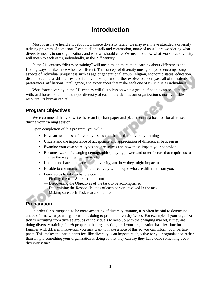# **Introduction**

Most of us have heard a lot about workforce diversity lately; we may even have attended a diversity training program of some sort. Despite all the talk and commotion, many of us still are wondering what diversity means to our organization, and why we should care. We need to know what workforce diversity will mean to each of us, individually, in the  $21<sup>st</sup>$  century.

In the  $21<sup>st</sup>$  century "diversity training" will mean much more than learning about differences and finding ways to like those who are different. The concept of diversity must go beyond encompassing aspects of individual uniqueness such as age or generational group, religion, economic status, education, disability, cultural differences, and family make-up, and further evolve to encompass all of the talents, preferences, affiliations, intelligence, and experiences that make each one of us unique as individuals.

Workforce diversity in the 21<sup>st</sup> century will focus less on what a group of people can be identified with, and focus more on the unique diversity of each individual as our organization's most valuable resource: its human capital.

### **Program Objectives**

We recommend that you write these on flipchart paper and place them in a location for all to see during your training session.

Upon completion of this program, you will:

- Have an awareness of diversity issues and the need for diversity training.
- Understand the importance of acceptance and appreciation of differences between us.
- Examine your own stereotypes and prejudices and how these impact your behavior.
- Become aware of changing demographics, buying power, and other factors that require us to change the way in which we work.
- Understand barriers to accepting diversity, and how they might impact us.
- Be able to communicate more effectively with people who are different from you.
- Learn steps to take to handle conflict:
	- Finding the true Source of the conflict
	- Discovering the Objectives of the task to be accomplished
	- Determining the Responsibilities of each person involved in the task
	- Making sure each Task is accounted for

### **Preparation**

In order for participants to be more accepting of diversity training, it is often helpful to determine ahead of time what your organization is doing to promote diversity issues. For example, if your organization is recruiting from diverse groups of individuals to keep up with the changing market, if they are doing diversity training for *all* people in the organization, or if your organization has flex time for families with different make-ups, you may want to make a note of this so you can inform your participants. This makes the participants feel like diversity is an important objective for your organization rather than simply something your organization is doing so that they can say they have done something about diversity issues.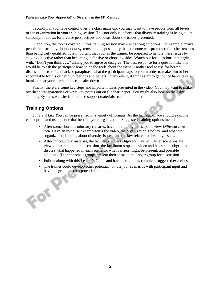Secondly, if you have control over the class make-up, you may want to have people from all levels of the organization in your training session. This not only reinforces that diversity training is being taken seriously, it allows for diverse perspectives and ideas about the issues presented.

In addition, the topics covered in this training session may elicit strong emotions. For example, many people feel strongly about quota systems and the possibility that someone was promoted for other reasons than being truly qualified. It is important that you, as the trainer, be prepared to handle these issues by staying objective rather than becoming defensive or choosing sides. Watch out for questions that begin with, "Don't you think . . .," asking you to agree or disagree. The best response for a question like this would be to ask the participant how he or she feels about the issue. Another tool to use for heated discussion is to reflect back or paraphrase what the participant says to you in order to make him or her accountable for his or her own feelings and beliefs. In any event, if things start to get out of hand, take a break so that your participants can calm down.

Finally, there are some key steps and important ideas presented in the video. You may want to make overhead transparencies or write key points out on flipchart paper. You might also look on the Edge Training Systems website for updated support materials from time to time.

### **Training Options**

Form

*Different Like You* can be presented in a variety of formats. As the facilitator, you should examine each option and use the one that best fits your organization. Suggested training options include:

- After some short introductory remarks, have the training participants view *Different Like You.* Have an in-house expert discuss the video, the organization's policy, and what the organization is doing about diversity issues, and the law related to diversity issues.
- After introductory material, the facilitator shows *Different Like You.* After scenarios are viewed that might elicit discussion, the facilitator stops the video and has small subgroups discuss what happened in each scenario, what barriers might be present, and possible solutions. Then the small groups present their ideas to the larger group for discussion.
- Follow along with this Leader's Guide and have participants complete suggested exercises.
- The trainer could develop other potential "on the job" scenarios with participant input and have the group discuss potential solutions.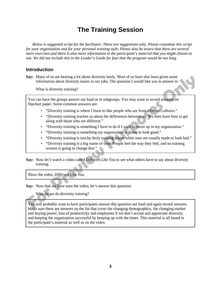# **The Training Session**

*Below is suggested script for the facilitator. These are suggestions only. Please customize this script for your organization and for your personal training style. Please also be aware that there are several more exercises and there is also more information in the participant's material that you might choose to use. We did not include this in the Leader's Guide for fear that the program would be too long.* 

### **Introduction**

**Say:** Many of us are hearing a lot about diversity lately. Most of us have also been given some information about diversity issues in our jobs. The question I would like you to answer is:

What is diversity training?

You can have the groups answer out loud or in subgroups. You may want to record answers on flipchart paper. Some common answers are:

- "Diversity training is where I learn to like people who are from different cultures."
- "Diversity training teaches us about the differences between us. We then learn how to get along with those who are different."
- "Diversity training is something I have to do if I want to move up in my organization."
- "Diversity training is something my organization is doing to look good."
- "Diversity training is touchy-feely training where white men are usually made to look bad."
- "Diversity training is a big waste of time. People feel the way they feel, and no training session is going to change that."
- **Say:** Now let's watch a video called *Different Like You* to see what others have to say about diversity training.

Show the video, *Different Like You.*

**Say:** Now that we have seen the video, let's answer this question:

Why do we do diversity training?

You will probably want to have participants answer this question out loud and again record answers. Make sure there are answers on the list that cover the changing demographics, the changing market and buying power, loss of productivity and employees if we don't accept and appreciate diversity, and keeping the organization successful by keeping up with the times. This material is all found in the participant's material as well as on the video.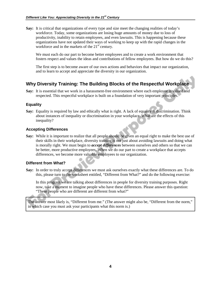**Say:** It is critical that organizations of every type and size meet the changing realities of today's workforce. Today, some organizations are losing huge amounts of money due to loss of productivity, inability to retain employees, and even lawsuits. This is happening because these organizations have not updated their ways of working to keep up with the rapid changes in the workforce and in the markets of the  $21<sup>st</sup>$  century.

 We must each do our part to become better employees and to create a work environment that fosters respect and values the ideas and contributions of fellow employees. But how do we do this?

 The first step is to become aware of our own actions and behaviors that impact our organization, and to learn to accept and appreciate the diversity in our organization.

### **Why Diversity Training: The Building Blocks of the Respectful Workplace**

**Say:** It is essential that we work in a harassment-free environment where each employee is valued and respected. This respectful workplace is built on a foundation of very important principles.

### **Equality**

**Say:** Equality is required by law and ethically what is right. A lack of equality is discrimination. Think about instances of inequality or discrimination in your workplace. What are the effects of this inequality?

### **Accepting Differences**

**Say:** While it is important to realize that all people should be given an equal right to make the best use of their skills in their workplace, diversity training is not just about avoiding lawsuits and doing what is morally right. We must begin to *accept differences* between ourselves and others so that we can be better, more productive employees. When we do our part to create a workplace that accepts differences, we become more valuable employees to our organization.

### **Different from What?**

**Say:** In order to truly accept differences we must ask ourselves exactly what these differences are. To do this, please turn to the worksheet entitled, "Different from What?" and do the following exercise:

 In this program we are talking about differences in people for diversity training purposes. Right now, take a moment to imagine people who have these differences. Please answer this question: "These people who are different are different from what?"

The answer most likely is, "Different from me." (The answer might also be, "Different from the norm," in which case you must ask your participants what this norm is.)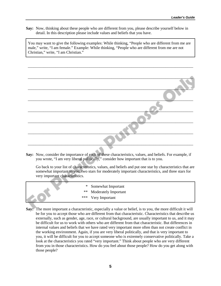**Say:** Now, thinking about these people who are different from you, please describe yourself below in detail. In this description please include values and beliefs that you have.

You may want to give the following examples: While thinking, "People who are different from me are male," write, "I am female." Example: While thinking, "People who are different from me are not Christian," write, "I am Christian."

\_\_\_\_\_\_\_\_\_\_\_\_\_\_\_\_\_\_\_\_\_\_\_\_\_\_\_\_\_\_\_\_\_\_\_\_\_\_\_\_\_\_\_\_\_\_\_\_\_\_\_\_\_\_\_\_\_\_\_\_\_\_\_\_\_\_\_\_\_\_\_\_\_\_\_\_\_\_\_\_\_\_\_

**Say:** Now, consider the importance of each of these characteristics, values, and beliefs. For example, if you wrote, "I am very liberal politically," consider how important that is to you.

 Go back to your list of characteristics, values, and beliefs and put one star by characteristics that are somewhat important to you, two stars for moderately important characteristics, and three stars for very important characteristics.

|  | * Somewhat Important    |  |
|--|-------------------------|--|
|  | ** Moderately Important |  |
|  | *** Very Important      |  |
|  |                         |  |

**Say:** The more important a characteristic, especially a value or belief, is to you, the more difficult it will be for you to accept those who are different from that characteristic. Characteristics that describe us externally, such as gender, age, race, or cultural background, are usually important to us, and it may be difficult for us to work with others who are different from that characteristic. But differences in internal values and beliefs that we have rated very important more often than not create conflict in the working environment. Again, if you are very liberal politically, and that is very important to you, it will be difficult for you to accept someone who is extremely conservative politically. Take a look at the characteristics you rated "very important." Think about people who are very different from you in those characteristics. How do you feel about those people? How do you get along with those people?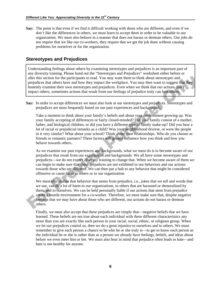**Say:** The point is that even if we find it difficult working with those who are different, and even if we don't like the differences in others, we must learn to accept them in order to be valuable to our organization. We must also behave in a manner that does not harass or demean others. Our jobs do not require that we like our co-workers, they require that we get the job done without causing problems for ourselves or for the organization.

### **Stereotypes and Prejudices**

Understanding feelings about others by examining stereotypes and prejudices is an important part of any diversity training. Please hand out the "Stereotypes and Prejudices" worksheet either before or after this section for the participants to read. You may want them to think about stereotypes and prejudices that others have and how they impact the workplace. You may then want to suggest that they honestly examine their own stereotypes and prejudices. Even when we think that our actions don't impact others, sometimes actions that result from our feelings of prejudice truly can hurt others.

**Say:** In order to accept differences we must also look at our stereotypes and prejudices. Stereotypes and prejudices are most frequently based on our past experiences and backgrounds.

 Take a moment to think about your family's beliefs and about your environment growing up. Was your family accepting of differences or fairly closed-minded? Did your family consist of a mother, father, and biological children, or did you have a different type of family make-up? Did you hear a lot of racial or prejudicial remarks as a child? Was your neighborhood diverse, or were the people in it very similar? What about your school? Think about your relationships. Who do you choose as friends or romantic partners? These factors will greatly influence how you think and how you behave towards others.

 As we examine our past experiences and backgrounds, what we must do is to become aware of our prejudices that result from our experiences and backgrounds. We all have some stereotypes and prejudices—we do not expect diversity training to change that. When we become aware of them we can begin to make sure that these prejudices are not exhibited in our behaviors and our actions towards those who are different. We can then put a halt to any behavior that might be considered offensive or cause harm to others or to our organization.

We must also realize that behavior that stems from prejudice, i.e., jokes that we tell and words that we use, can do a lot of harm to our organizations, to others that are harassed or demoralized by them, and to ourselves. We can be held personally liable if our actions that stem from prejudice create a hostile environment for a co-worker. Therefore, we must make sure that, despite negative feelings that we may have about those who are different, our actions do not harass or demean others.

 Finally, we must also accept that these prejudices are simply that—negative beliefs that we have learned. These beliefs are not true about each individual with these different characteristics any more than you are exactly like each person in your racial, social, ethnic, or religious group. When we let our prejudices control us, then we do a great injustice to ourselves and to others. We must remember to give each person a chance to be who he or she truly is—to get to know each person as the individual he or she is rather than as a person we already have feelings, beliefs, and ideas about before we even meet him or her. We must also bear in mind that prejudice often leads to hate—and hate is not healthy for anyone.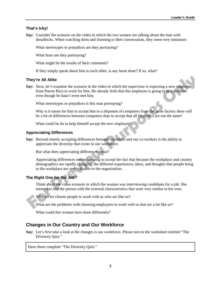### **That's Icky!**

**Say:** Consider the scenario on the video in which the two women are talking about the man with dreadlocks. When watching them and listening to their conversation, they seem very immature.

What stereotypes or prejudices are they portraying?

What fears are they portraying?

What might be the results of their comments?

If they simply speak about him to each other, is any harm done? If so, what?

### **They're All Alike**

**Say:** Next, let's examine the scenario in the video in which the supervisor is expecting a new employee from Puerto Rico to work for him. He already feels that this employee is going to be a problem even though he hasn't even met him.

What stereotypes or prejudices is this man portraying?

 Why is it easier for him to accept that in a shipment of computers from the same factory there will be a lot of differences between computers than to accept that all Hispanics are not the same?

What could he do to help himself accept the new employee?

### **Appreciating Differences**

**Say:** Beyond merely accepting differences between ourselves and our co-workers is the ability to appreciate the diversity that exists in our workplace.

But what does appreciating differences mean?

Appreciating differences means learning to accept the fact that because the workplace and country demographics are rapidly changing, the different experiences, ideas, and thoughts that people bring to the workplace are very valuable to the organization.

### **The Right One for the Job?**

 Think about the video scenario in which the woman was interviewing candidates for a job. She seemed to like the person with the external characteristics that were very similar to her own.

Why do we choose people to work with us who are like us?

What are the problems with choosing employees to work with us that are a lot like us?

What could this woman have done differently?

### **Changes in Our Country and Our Workforce**

**Say:** Let's first take a look at the changes is our workforce. Please turn to the worksheet entitled "The Diversity Quiz."

Have them complete "The Diversity Quiz."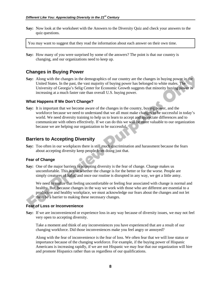**Say:** Now look at the worksheet with the Answers to the Diversity Quiz and check your answers to the quiz questions.

You may want to suggest that they read the information about each answer on their own time.

**Say:** How many of you were surprised by some of the answers? The point is that our country is changing, and our organizations need to keep up.

### **Changes in Buying Power**

**Say:** Along with the changes in the demographics of our country are the changes in buying power in the United States. In the past, the vast majority of buying power has belonged to white males. The University of Georgia's Selig Center for Economic Growth suggests that minority buying power is increasing at a much faster rate than overall U.S. buying power.

### **What Happens If We Don't Change?**

**Say:** It is important that we become aware of the changes in the country, buying power, and the workforce because we need to understand that we all must make changes to be successful in today's world. We need diversity training to help us to learn to accept and appreciate differences and to communicate with others effectively. If we can do this we will be more valuable to our organization because we are helping our organization to be successful.

### **Barriers to Accepting Diversity**

**Say:** Too often in our workplaces there is still much discrimination and harassment because the fears about accepting diversity keep people from doing just that.

### **Fear of Change**

**Say:** One of the major barriers to accepting diversity is the fear of change. Change makes us uncomfortable. This is true whether the change is for the better or for the worse. People are simply creatures of habit, and once our routine is disrupted in any way, we get a little antsy.

We need to realize that feeling uncomfortable or feeling fear associated with change is normal and healthy. But, because changes in the way we work with those who are different are essential to a productive and healthy workplace, we must acknowledge our fears about the changes and not let them be a barrier to making these necessary changes.

### **Fear of Loss or Inconvenience**

**Say:** If we are inconvenienced or experience loss in any way because of diversity issues, we may not feel very open to accepting diversity.

 Take a moment and think of any inconveniences you have experienced that are a result of our changing workforce. Did those inconveniences make you feel angry or annoyed?

 Along with the fear of inconvenience is the fear of loss. We often fear that we will lose status or importance because of the changing workforce. For example, if the buying power of Hispanic Americans is increasing rapidly, if we are not Hispanic we may fear that our organization will hire and promote Hispanics rather than us regardless of our qualifications.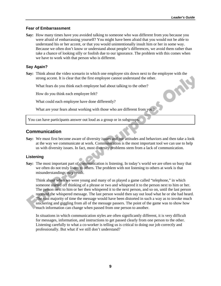$\Box$ 

### **Fear of Embarrassment**

**Say:** How many times have you avoided talking to someone who was different from you because you were afraid of embarrassing yourself? You might have been afraid that you would not be able to understand his or her accent, or that you would unintentionally insult him or her in some way. Because we often don't know or understand about people's differences, we avoid them rather than take a chance of looking silly or foolish due to our ignorance. The problem with this comes when we have to work with that person who is different.

### **Say Again?**

**Say:** Think about the video scenario in which one employee sits down next to the employee with the strong accent. It is clear that the first employee cannot understand the other.

What fears do you think each employee had about talking to the other?

How do you think each employee felt?

What could each employee have done differently?

What are your fears about working with those who are different from you?

You can have participants answer out loud as a group or in subgroups.

### **Communication**

**Say:** We must first become aware of diversity issues and our attitudes and behaviors and then take a look at the way we communicate at work. Communication is the most important tool we can use to help us with diversity issues. In fact, most diversity problems stem from a lack of communication.

### **Listening**

**Say:** The most important part of communication is listening. In today's world we are often so busy that we often do not truly listen to others. The problem with not listening to others at work is that misunderstandings may result.

 Think about when we were young and many of us played a game called "telephone," in which someone started off thinking of a phrase or two and whispered it to the person next to him or her. The person next to him or her then whispered it to the next person, and so on, until the last person received the whispered message. The last person would then say out loud what he or she had heard. The vast majority of time the message would have been distorted in such a way as to invoke much snickering and giggling from all of the message passers. The point of the game was to show how much information can change when passed from one person to another.

 In situations in which communication styles are often significantly different, it is very difficult for messages, information, and instructions to get passed clearly from one person to the other. Listening carefully to what a co-worker is telling us is critical to doing our job correctly and professionally. But what if we still don't understand?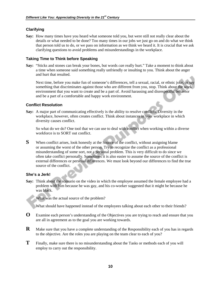### **Clarifying**

**Say:** How many times have you heard what someone told you, but were still not really clear about the details or what needed to be done? Too many times in our jobs we just go on and do what we think that person told us to do, or we pass on information as we think we heard it. It is crucial that we ask clarifying questions to avoid problems and misunderstandings in the workplace.

### **Taking Time to Think before Speaking**

**Say:** "Sticks and stones can break your bones, but words *can* really hurt." Take a moment to think about a time when someone said something really unfriendly or insulting to you. Think about the anger and hurt that resulted.

 Next time, before you make fun of someone's differences, tell a sexual, racial, or ethnic joke, or say something that discriminates against those who are different from you, stop. Think about the work environment that you want to create and be a part of. Avoid harassing and disrespectful behavior and be a part of a comfortable and happy work environment.

### **Conflict Resolution**

**Say:** A major part of communicating effectively is the ability to resolve conflicts. Diversity in the workplace, however, often creates conflict. Think about instances in your workplace in which diversity causes conflict.

 So what do we do? One tool that we can use to deal with conflict when working within a diverse workforce is to SORT out conflict.

**S** When conflict arises, look honestly at the Source of the conflict, without assigning blame or assuming the worst of the other person. Try to recognize the conflict as a professional misunderstanding of some sort, not a personal problem. This is very difficult to do since we often take conflict personally. Sometimes it is also easier to assume the source of the conflict is external differences or personal differences. We must look beyond our differences to find the true source of the conflict.

### **She's a Jerk!**

Say: Think about the scenario on the video in which the employee assumed the female employee had a problem with him because he was gay, and his co-worker suggested that it might be because he was black.

What was the actual source of the problem?

What should have happened instead of the employees talking about each other to their friends?

- **O** Examine each person's understanding of the Objectives you are trying to reach and ensure that you are all in agreement as to the goal you are working towards.
- **R** Make sure that you have a complete understanding of the Responsibility each of you has in regards to the objective. Are the roles you are playing on the team clear to each of you?
- **T** Finally, make sure there is no misunderstanding about the Tasks or methods each of you will employ to carry out the responsibility.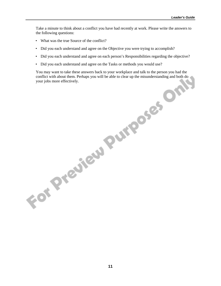Take a minute to think about a conflict you have had recently at work. Please write the answers to the following questions:

- What was the true Source of the conflict?
- Did you each understand and agree on the Objective you were trying to accomplish?
- Did you each understand and agree on each person's Responsibilities regarding the objective?
- Did you each understand and agree on the Tasks or methods you would use?

You may want to take these answers back to your workplace and talk to the person you had the conflict with about them. Perhaps you will be able to clear up the misunderstanding and both do your jobs more effectively.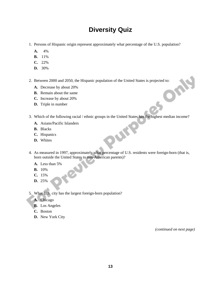# **Diversity Quiz**

- 1. Persons of Hispanic origin represent approximately what percentage of the U.S. population?
	- **A.** 4%
	- **B.** 11%
	- **C.** 22%
	- **D.** 30%
- 2. Between 2000 and 2050, the Hispanic population of the United States is projected to:<br> **A.** Decrease by about 20%<br> **B.** Remain about the same<br> **C.** Increase by about 20%<br> **D.** Third is a set of the United States is proje
	- **A.** Decrease by about 20%
	- **B.** Remain about the same
	- **C.** Increase by about 20%
	- **D.** Triple in number
- 3. Which of the following racial / ethnic groups in the United States has the highest median income?
	- **A.** Asians/Pacific Islanders
	- **B.** Blacks
	- **C.** Hispanics
	- **D.** Whites
- 4. As measured in 1997, approximately what percentage of U.S. residents were foreign-born (that is, born outside the United States to non-American parents)?

Pure

- **A.** Less than 5%
- **B.** 10%
- **C.** 15%
- **D.** 25%
- 5. What U.S. city has the largest foreign-born population?
	- **A.** Chicago
	- **B.** Los Angeles
	- **C.** Boston
	- **D.** New York City

*(continued on next page)*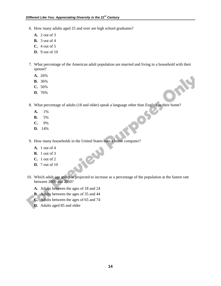- 6. How many adults aged 25 and over are high school graduates?
	- **A.** 2 out of 3
	- **B.** 3 out of 4
	- **C.** 4 out of 5
	- **D.** 9 out of 10
- 7. What percentage of the American adult population are married and living in a household with their spouse?
	- **A.** 26%
	- **B.** 36%
	- **C.** 56%
	- **D.** 76%

OME 8. What percentage of adults (18 and older) speak a language other than English in their home?<br> **A.** 1%<br> **B.** 5%<br> **C.** 9%<br> **D.** 14%

- **A.** 1%
- **B.** 5%
- **C.** 9%
- **D.** 14%
- 9. How many households in the United States own a home computer?

Stew

- **A.** 1 out of 4
- **B.** 1 out of 3
- **C.** 1 out of 2
- **D.** 7 out of 10
- 10. Which adult age group is projected to increase as a percentage of the population at the fastest rate between 2000 and 2050?
	- **A.** Adults between the ages of 18 and 24
	- **B.** Adults between the ages of 35 and 44
	- **C.** Adults between the ages of 65 and 74
	- **D.** Adults aged 85 and older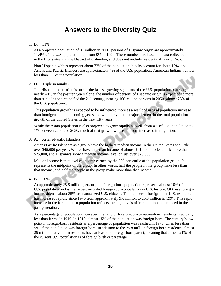# **Answers to the Diversity Quiz**

### 1. **B.** 11%

 At a projected population of 31 million in 2000, persons of Hispanic origin are approximately 11.4% of the U.S. population, up from 9% in 1990. These numbers are based on data collected in the fifty states and the District of Columbia, and does not include residents of Puerto Rico.

 Non-Hispanic whites represent about 72% of the population, blacks account for about 12%, and Asians and Pacific Islanders are approximately 4% of the U.S. population. American Indians number less than 1% of the population.

### 2. **D.** Triple in number

 The Hispanic population is one of the fastest growing segments of the U.S. population. Growing nearly 40% in the past ten years alone, the number of persons of Hispanic origin is expected to more than triple in the first half of the  $21<sup>st</sup>$  century, nearing 100 million persons in 2050 (almost 25% of the U.S. population).

 This population growth is expected to be influenced more as a result of natural population increase than immigration in the coming years and will likely be the major element in the total population growth of the United States in the next fifty years.

While the Asian population is also projected to grow rapidly as well, from 4% of U.S. population to 7% between 2000 and 2050, much of that growth will result from increased immigration.

### 3. **A.** Asians/Pacific Islanders

 Asians/Pacific Islanders as a group have the highest median income in the United States at a little over \$46,000 per year. Whites have a median income of almost \$41,000, blacks a little more than \$25,000, and Hispanics show a median income level of just over \$28,000.

Median income is that level of income earned by the  $50<sup>th</sup>$  percentile of the population group. It represents the midpoint of the group. In other words, half the people in the group make less than that income, and half the people in the group make more than that income.

### 4. **B.** 10%

 At approximately 25.8 million persons, the foreign-born population represents almost 10% of the U.S. population and is the largest recorded foreign-born population in U.S. history. Of these foreignborn residents, about 35% are naturalized U.S. citizens. The number of foreign-born U.S. residents has increased rapidly since 1970 from approximately 9.6 million to 25.8 million in 1997. This rapid increase in the foreign-born population reflects the high levels of immigration experienced in the past generation.

 As a percentage of population, however, the ratio of foreign-born to native-born residents is actually less than it was in 1910. In 1910, almost 15% of the population was foreign-born. The century's low point in foreign-born residents as a percentage of population was reached in 1970, when less than 5% of the population was foreign-born. In addition to the 25.8 million foreign-born residents, almost 29 million native-born residents have at least one foreign-born parent, meaning that almost 21% of the current U.S. population is of foreign birth or parentage.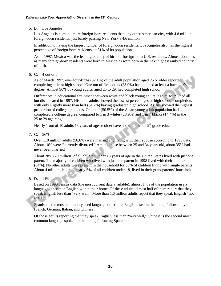### 5. **B.** Los Angeles

 Los Angeles is home to more foreign-born residents than any other American city, with 4.8 million foreign-born residents, just barely passing New York's 4.6 million.

 In addition to having the largest number of foreign-born residents, Los Angeles also has the highest percentage of foreign-born residents, at 31% of its population.

 As of 1997, Mexico was the leading country of birth of foreign-born U.S. residents. Almost six times as many foreign-born residents were born in Mexico as were born in the next highest ranked country of birth.

6. **C.** 4 out of 5

 As of March 1997, over four-fifths (82.1%) of the adult population aged 25 or older reported completing at least high school. One out of five adults (23.9%) had attained at least a bachelor's degree. Almost 90% of young adults, aged 25 to 29, had completed high school.

 Differences in educational attainment between white and black young adults (age 25 to 29) had all but disappeared in 1997. Hispanic adults showed the lowest percentages of high school completion, with only slightly more than half (54.7%) having graduated high school. Asians showed the highest proportion of college graduates. One-half (50.5%) of the Asian young adult population had completed a college degree, compared to 1 in 3 whites (28.9%) and 1 in 7 blacks (14.4%) in the 25 to 29 age range.

Nearly 1 out of 10 adults 18 years of age or older have no better than a  $9<sup>th</sup>$  grade education.

7. **C.** 56%

 Over 110 million adults (56.6%) were married and living with their spouse according to 1998 data. About 10% were "currently divorced." Among those between 25 and 34 years old, about 35% had never been married.

 About 28% (20 million) of all children under 18 years of age in the United States lived with just one parent. The majority of children who lived with just one parent in 1998 lived with their mother (84%). No other adults were present in the household for 56% of children living with single parents. About 4 million children, nearly 6% of all children under 18, lived in their grandparents' household.

8. **D.** 14%

 Based on 1990 census data (the most current data available), almost 14% of the population use a language other than English within their home. Of these adults, almost half of them report that they speak English less than "very well." More than 1.6 million adults report that they speak English "not at all."

 Spanish is the most commonly used language other than English used in the home, followed by French, German, Italian, and Chinese.

 Of those adults reporting that they speak English less than "very well," Chinese is the second most common language spoken in the home, following Spanish.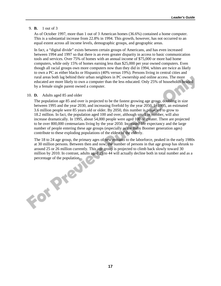### 9. **B.** 1 out of 3

 As of October 1997, more than 1 out of 3 American homes (36.6%) contained a home computer. This is a substantial increase from 22.8% in 1994. This growth, however, has not occurred to an equal extent across all income levels, demographic groups, and geographic areas.

 In fact, a "digital divide" exists between certain groups of Americans, and has even increased between 1994 and 1997 so that there is an even greater disparity in access to basic communication tools and services. Over 75% of homes with an annual income of \$75,000 or more had home computers, while only 15% of homes earning less than \$25,000 per year owned computers. Even though all racial groups own more computers now than they did in 1994, whites are twice as likely to own a PC as either blacks or Hispanics (40% versus 19%). Persons living in central cities and rural areas both lag behind their urban neighbors in PC ownership and online access. The more educated are more likely to own a computer than the less educated. Only 25% of households headed by a female single parent owned a computer.

### 10. **D.** Adults aged 85 and older

 The population age 85 and over is projected to be the fastest growing age group, doubling in size between 1995 and the year 2030, and increasing fivefold by the year 2050. In 1995, an estimated 3.6 million people were 85 years old or older. By 2050, this number is projected to grow to 18.2 million. In fact, the population aged 100 and over, although small in number, will also increase dramatically. In 1995, about 54,000 people were aged 100 or greater. There are projected to be over 800,000 centenarians living by the year 2050. Increased life expectancy and the large number of people entering these age groups (especially as the Baby Boomer generation ages) contribute to these exploding populations of the eldest of the elderly.

 The 18 to 24 age group, the primary ages of new entrants to the laborforce, peaked in the early 1980s at 30 million persons. Between then and now, the number of persons in that age group has shrunk to around 25 or 26 million currently. This age group is projected to climb back slowly toward 30 million by 2010. In contrast, adults aged 25 to 44 will actually decline both in total number and as a percentage of the population.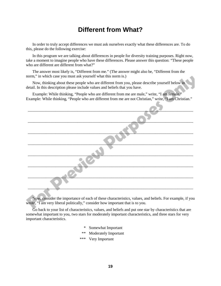# **Different from What?**

In order to truly accept differences we must ask ourselves exactly what these differences are. To do this, please do the following exercise:

In this program we are talking about differences in people for diversity training purposes. Right now, take a moment to imagine people who have these differences. Please answer this question: "These people who are different are different from what?"

The answer most likely is, "Different from me." (The answer might also be, "Different from the norm," in which case you must ask yourself what this norm is.)

Now, thinking about these people who are different from you, please describe yourself below in detail. In this description please include values and beliefs that you have.

Example: While thinking, "People who are different from me are male," write, "I am female." Example: While thinking, "People who are different from me are not Christian," write, "I am Christian."

Now, consider the importance of each of these characteristics, values, and beliefs. For example, if you wrote, "I am very liberal politically," consider how important that is to you.

Go back to your list of characteristics, values, and beliefs and put one star by characteristics that are somewhat important to you, two stars for moderately important characteristics, and three stars for very important characteristics.

- \* Somewhat Important
- \*\* Moderately Important
- \*\*\* Very Important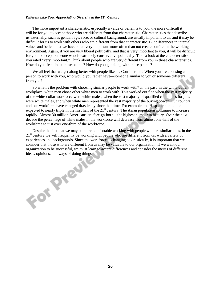The more important a characteristic, especially a value or belief, is to you, the more difficult it will be for you to accept those who are different from that characteristic. Characteristics that describe us externally, such as gender, age, race, or cultural background, are usually important to us, and it may be difficult for us to work with others who are different from that characteristic. But differences in internal values and beliefs that we have rated very important more often than not create conflict in the working environment. Again, if you are very liberal politically, and that is very important to you, it will be difficult for you to accept someone who is extremely conservative politically. Take a look at the characteristics you rated "very important." Think about people who are very different from you in those characteristics. How do you feel about those people? How do you get along with those people?

We all feel that we get along better with people like us. Consider this: When you are choosing a person to work with you, who would you rather have—someone similar to you or someone different from you?

So what is the problem with choosing similar people to work with? In the past, in the white-collar workplace, white men chose other white men to work with. This worked out fine when the vast majority of the white-collar workforce were white males, when the vast majority of qualified candidates for jobs were white males, and when white men represented the vast majority of the buying power. Our country and our workforce have changed drastically since that time. For example, the Hispanic population is expected to nearly triple in the first half of the  $21<sup>st</sup>$  century. The Asian population continues to increase rapidly. Almost 30 million Americans are foreign-born—the highest number in history. Over the next decade the percentage of white males in the workforce will decrease from almost one-half of the workforce to just over one-third of the workforce.

Despite the fact that we may be more comfortable working with people who are similar to us, in the  $21<sup>st</sup>$  century we will frequently be working with people who are different from us, with a variety of experiences and backgrounds. Since the workforce is changing so drastically, it is important that we consider that those who are different from us may be valuable to our organization. If we want our organization to be successful, we must learn to accept differences and consider the merits of different ideas, and was developed the contract of the contract of the contract of the contract of the contract of the contract of the contract of the contract of the contract of the contract of the contract of the contract of the c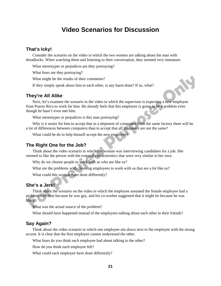## **Video Scenarios for Discussion**

### **That's Icky!**

Consider the scenario on the video in which the two women are talking about the man with dreadlocks. When watching them and listening to their conversation, they seemed very immature.

What stereotypes or prejudices are they portraying?

What fears are they portraying?

What might be the results of their comments?

If they simply speak about him to each other, is any harm done? If so, what?

### **They're All Alike**

Next, let's examine the scenario in the video in which the supervisor is expecting a new employee from Puerto Rico to work for him. He already feels that this employee is going to be a problem even though he hasn't even met him.

What stereotypes or prejudices is this man portraying?

Why is it easier for him to accept that in a shipment of computers from the same factory there will be a lot of differences between computers than to accept that all Hispanics are not the same?

What could he do to help himself accept the new employee?

### **The Right One for the Job?**

Think about the video scenario in which the woman was interviewing candidates for a job. She seemed to like the person with the external characteristics that were very similar to her own.

Why do we choose people to work with us who are like us?

What are the problems with choosing employees to work with us that are a lot like us?

What could this woman have done differently?

### **She's a Jerk!**

Think about the scenario on the video in which the employee assumed the female employee had a problem with him because he was gay, and his co-worker suggested that it might be because he was black.

What was the actual source of the problem?

What should have happened instead of the employees talking about each other to their friends?

### **Say Again?**

Think about the video scenario in which one employee sits down next to the employee with the strong accent. It is clear that the first employee cannot understand the other.

What fears do you think each employee had about talking to the other?

How do you think each employee felt?

What could each employee have done differently?